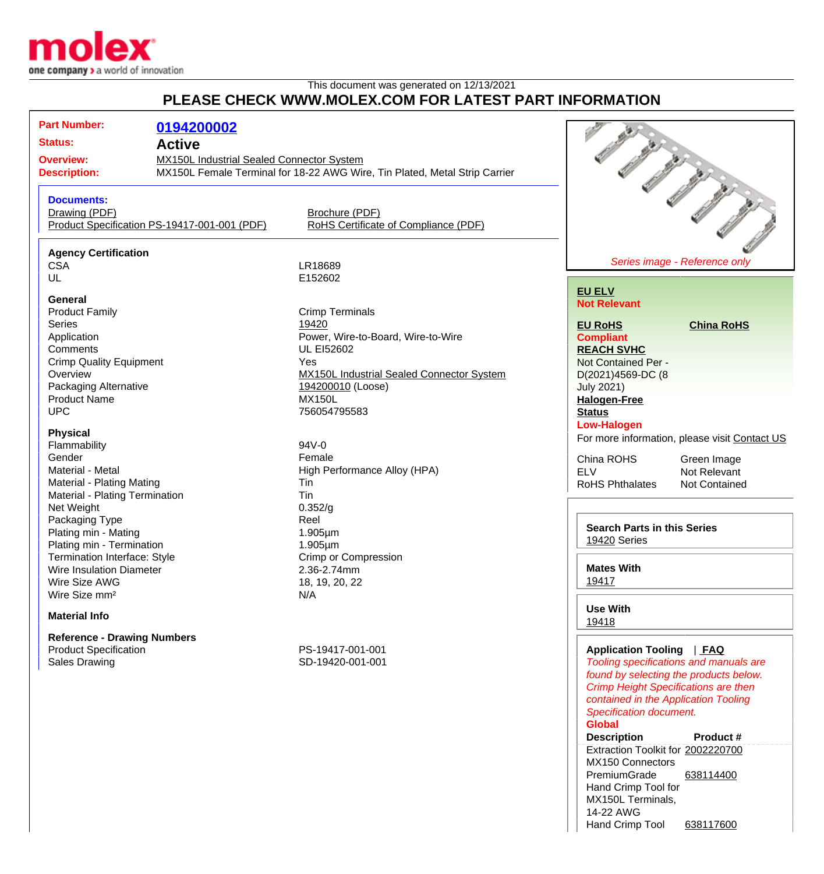

## This document was generated on 12/13/2021 **PLEASE CHECK WWW.MOLEX.COM FOR LATEST PART INFORMATION**

| <b>Part Number:</b>                                         | 0194200002                                                                 |                                                  |                                                 |                                                                                                                                                                         |
|-------------------------------------------------------------|----------------------------------------------------------------------------|--------------------------------------------------|-------------------------------------------------|-------------------------------------------------------------------------------------------------------------------------------------------------------------------------|
| <b>Status:</b>                                              | <b>Active</b>                                                              |                                                  |                                                 |                                                                                                                                                                         |
|                                                             | MX150L Industrial Sealed Connector System<br><b>Overview:</b>              |                                                  |                                                 |                                                                                                                                                                         |
|                                                             |                                                                            |                                                  |                                                 |                                                                                                                                                                         |
| <b>Description:</b>                                         | MX150L Female Terminal for 18-22 AWG Wire, Tin Plated, Metal Strip Carrier |                                                  |                                                 |                                                                                                                                                                         |
| <b>Documents:</b>                                           |                                                                            |                                                  |                                                 |                                                                                                                                                                         |
| Drawing (PDF)                                               |                                                                            | Brochure (PDF)                                   |                                                 |                                                                                                                                                                         |
|                                                             | Product Specification PS-19417-001-001 (PDF)                               | RoHS Certificate of Compliance (PDF)             |                                                 |                                                                                                                                                                         |
| <b>Agency Certification</b>                                 |                                                                            |                                                  |                                                 |                                                                                                                                                                         |
| <b>CSA</b>                                                  |                                                                            | LR18689                                          |                                                 | Series image - Reference only                                                                                                                                           |
| UL                                                          |                                                                            | E152602                                          |                                                 |                                                                                                                                                                         |
|                                                             |                                                                            |                                                  | <b>EU ELV</b>                                   |                                                                                                                                                                         |
| <b>General</b>                                              |                                                                            |                                                  | <b>Not Relevant</b>                             |                                                                                                                                                                         |
| <b>Product Family</b>                                       |                                                                            | <b>Crimp Terminals</b>                           |                                                 |                                                                                                                                                                         |
| <b>Series</b>                                               |                                                                            | 19420                                            | <b>EU RoHS</b>                                  | <b>China RoHS</b>                                                                                                                                                       |
| Application                                                 |                                                                            | Power, Wire-to-Board, Wire-to-Wire               | <b>Compliant</b>                                |                                                                                                                                                                         |
| Comments                                                    |                                                                            | <b>UL EI52602</b>                                | <b>REACH SVHC</b>                               |                                                                                                                                                                         |
| <b>Crimp Quality Equipment</b>                              |                                                                            | Yes                                              | Not Contained Per -                             |                                                                                                                                                                         |
| Overview                                                    |                                                                            | <b>MX150L Industrial Sealed Connector System</b> | D(2021)4569-DC (8                               |                                                                                                                                                                         |
| Packaging Alternative                                       |                                                                            | 194200010 (Loose)                                | <b>July 2021)</b>                               |                                                                                                                                                                         |
| <b>Product Name</b>                                         |                                                                            | <b>MX150L</b>                                    | <b>Halogen-Free</b>                             |                                                                                                                                                                         |
| <b>UPC</b>                                                  |                                                                            | 756054795583                                     | <b>Status</b>                                   |                                                                                                                                                                         |
|                                                             |                                                                            |                                                  | <b>Low-Halogen</b>                              |                                                                                                                                                                         |
| <b>Physical</b>                                             |                                                                            |                                                  |                                                 | For more information, please visit Contact US                                                                                                                           |
| Flammability                                                |                                                                            | 94V-0                                            |                                                 |                                                                                                                                                                         |
| Gender                                                      |                                                                            | Female                                           | China ROHS                                      | Green Image                                                                                                                                                             |
| Material - Metal                                            |                                                                            | High Performance Alloy (HPA)                     | <b>ELV</b>                                      | Not Relevant                                                                                                                                                            |
| Material - Plating Mating<br>Material - Plating Termination |                                                                            | Tin                                              | <b>RoHS Phthalates</b>                          | Not Contained                                                                                                                                                           |
|                                                             |                                                                            | Tin                                              |                                                 |                                                                                                                                                                         |
| Net Weight                                                  |                                                                            | 0.352/g                                          |                                                 |                                                                                                                                                                         |
| Packaging Type                                              |                                                                            | Reel                                             | <b>Search Parts in this Series</b>              |                                                                                                                                                                         |
| Plating min - Mating                                        |                                                                            | $1.905 \mu m$                                    | 19420 Series                                    |                                                                                                                                                                         |
| Plating min - Termination                                   |                                                                            | $1.905 \mu m$                                    |                                                 |                                                                                                                                                                         |
| Termination Interface: Style                                |                                                                            | Crimp or Compression                             | <b>Mates With</b>                               |                                                                                                                                                                         |
| Wire Insulation Diameter                                    |                                                                            | 2.36-2.74mm                                      | 19417                                           |                                                                                                                                                                         |
| Wire Size AWG                                               |                                                                            | 18, 19, 20, 22                                   |                                                 |                                                                                                                                                                         |
| Wire Size mm <sup>2</sup>                                   |                                                                            | N/A                                              | <b>Use With</b>                                 |                                                                                                                                                                         |
| <b>Material Info</b>                                        |                                                                            | 19418                                            |                                                 |                                                                                                                                                                         |
| <b>Reference - Drawing Numbers</b>                          |                                                                            |                                                  |                                                 |                                                                                                                                                                         |
| <b>Product Specification</b>                                |                                                                            | PS-19417-001-001                                 | Application Tooling   FAQ                       |                                                                                                                                                                         |
| <b>Sales Drawing</b>                                        |                                                                            | SD-19420-001-001                                 |                                                 | Tooling specifications and manuals are<br>found by selecting the products below.<br><b>Crimp Height Specifications are then</b><br>contained in the Application Tooling |
|                                                             |                                                                            |                                                  | <b>Specification document.</b><br><b>Global</b> |                                                                                                                                                                         |

**Description Product #** Extraction Toolkit for [2002220700](http://www.molex.com/molex/products/datasheet.jsp?part=active/2002220700_APPLICATION_TOOLIN.xml) MX150 Connectors PremiumGrade Hand Crimp Tool for MX150L Terminals, 14-22 AWG [638114400](http://www.molex.com/molex/products/datasheet.jsp?part=active/0638114400_APPLICATION_TOOLIN.xml) Hand Crimp Tool [638117600](http://www.molex.com/molex/products/datasheet.jsp?part=active/0638117600_APPLICATION_TOOLIN.xml)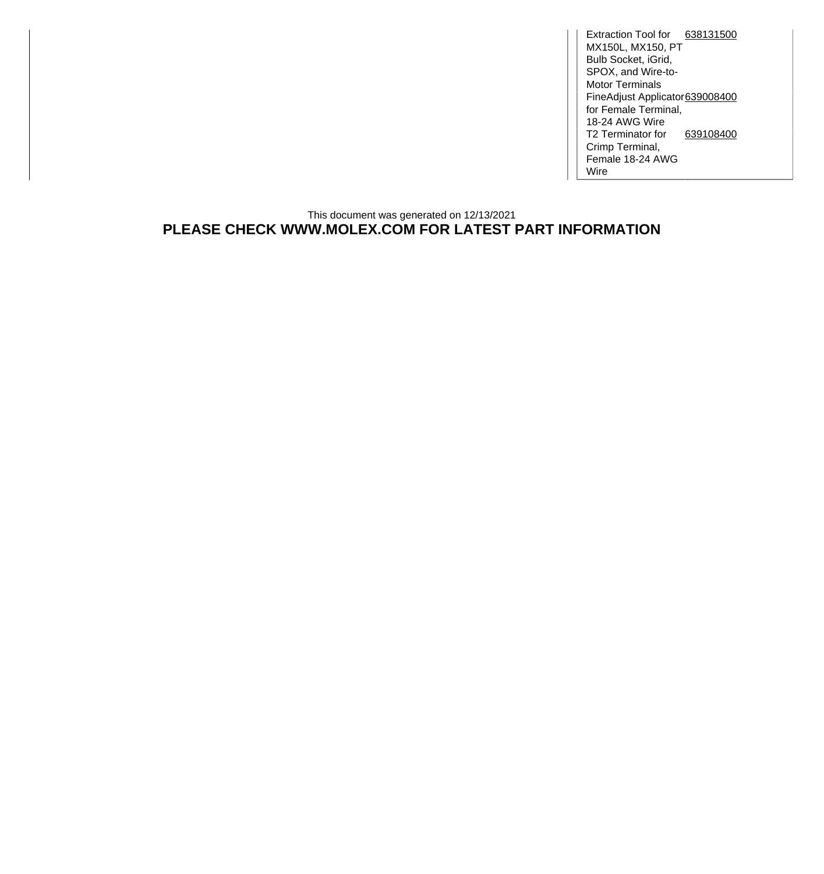Extraction Tool for [638131500](http://www.molex.com/molex/products/datasheet.jsp?part=active/0638131500_APPLICATION_TOOLIN.xml) MX150L, MX150, PT Bulb Socket, iGrid, SPOX, and Wire-to-Motor Terminals FineAdjust Applicator for Female Terminal, 18-24 AWG Wire [639008400](http://www.molex.com/molex/products/datasheet.jsp?part=active/0639008400_APPLICATION_TOOLIN.xml) T2 Terminator for [639108400](http://www.molex.com/molex/products/datasheet.jsp?part=active/0639108400_APPLICATION_TOOLIN.xml) Crimp Terminal, Female 18-24 AWG Wire

## This document was generated on 12/13/2021 **PLEASE CHECK WWW.MOLEX.COM FOR LATEST PART INFORMATION**